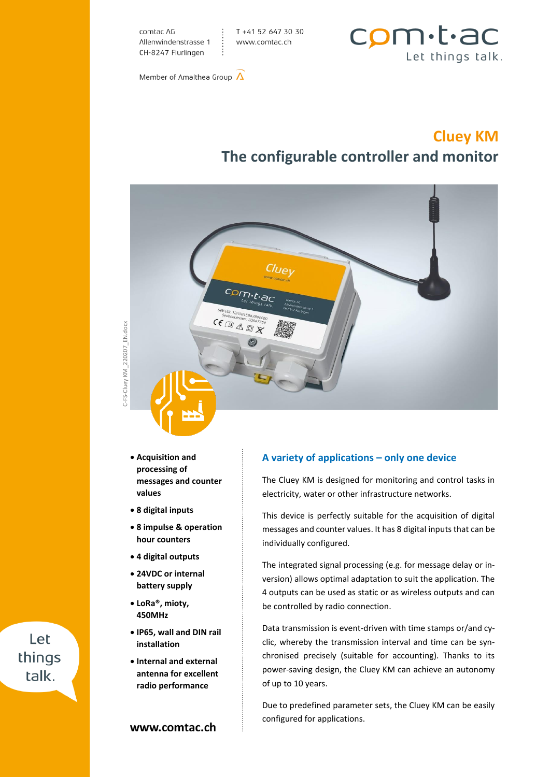comtac AG Allenwindenstrasse 1 CH-8247 Flurlingen

T +41 52 647 30 30 www.comtac.ch



Member of Amalthea Group  $\Lambda$ 

## **Cluey KM The configurable controller and monitor**



-FS-Cluey KM 220207 EN.docx C-FS-Cluey KM\_220207\_EN.docx

- **Acquisition and processing of messages and counter values**
- **8 digital inputs**
- **8 impulse & operation hour counters**
- **4 digital outputs**
- **24VDC or internal battery supply**
- **LoRa®, mioty, 450MHz**
- **IP65, wall and DIN rail installation**
- **Internal and external antenna for excellent radio performance**

#### **A variety of applications – only one device**

The Cluey KM is designed for monitoring and control tasks in electricity, water or other infrastructure networks.

This device is perfectly suitable for the acquisition of digital messages and counter values. It has 8 digital inputs that can be individually configured.

The integrated signal processing (e.g. for message delay or inversion) allows optimal adaptation to suit the application. The 4 outputs can be used as static or as wireless outputs and can be controlled by radio connection.

Data transmission is event-driven with time stamps or/and cyclic, whereby the transmission interval and time can be synchronised precisely (suitable for accounting). Thanks to its power-saving design, the Cluey KM can achieve an autonomy of up to 10 years.

Due to predefined parameter sets, the Cluey KM can be easily configured for applications.

# C-FS-Cluey KM Let things talk.

www.comtac.ch